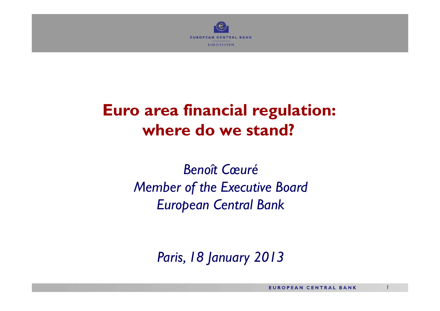

# **Euro area financial regulation: where do we stand?**

*Benoît CœuréMember of the Executive Board European Central Bank*

*Paris, 18 January 2013*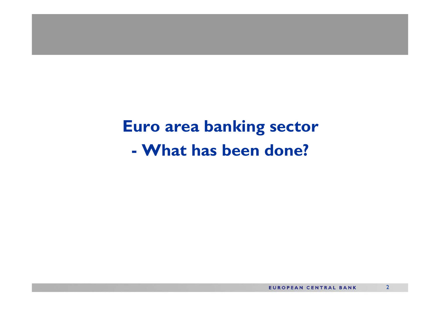**Euro area banking sector - What has been done?**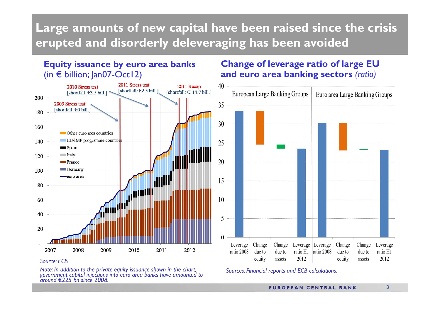### **Large amounts of new capital have been raised since the crisis erupted and disorderly deleveraging has been avoided**

#### **Equity issuance by euro area banks**  (in € billion; Jan07-Oct12)



#### *Source: ECB.*

*Note: In addition to the private equity issuance shown in the chart, government capital injections into euro area banks have amounted to around €225 bn since 2008.*

#### **Change of leverage ratio of large EU and euro area banking sectors** *(ratio)*



*Sources: Financial reports and ECB calculations.*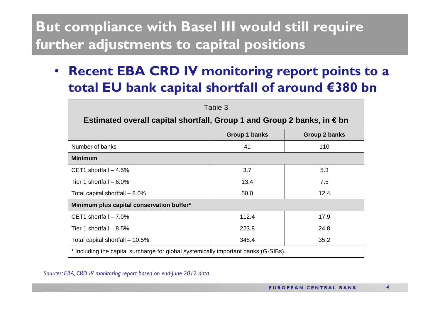## **But compliance with Basel III would still require further adjustments to capital positions**

 $\bullet$  **Recent EBA CRD IV monitoring report points to a total EU bank capital shortfall of around €380 bn**

| Table 3                                                                             |               |               |
|-------------------------------------------------------------------------------------|---------------|---------------|
| Estimated overall capital shortfall, Group 1 and Group 2 banks, in $\in$ bn         |               |               |
|                                                                                     | Group 1 banks | Group 2 banks |
| Number of banks                                                                     | 41            | 110           |
| <b>Minimum</b>                                                                      |               |               |
| CET1 shortfall $-4.5%$                                                              | 3.7           | 5.3           |
| Tier 1 shortfall $-6.0\%$                                                           | 13.4          | 7.5           |
| Total capital shortfall $-8.0\%$                                                    | 50.0          | 12.4          |
| Minimum plus capital conservation buffer*                                           |               |               |
| CET1 shortfall $-7.0\%$                                                             | 112.4         | 17.9          |
| Tier 1 shortfall $-8.5%$                                                            | 223.8         | 24.8          |
| Total capital shortfall - 10.5%                                                     | 348.4         | 35.2          |
| * Including the capital surcharge for global systemically important banks (G-SIBs). |               |               |

*Sources: EBA, CRD IV monitoring report based on end-June 2012 data.*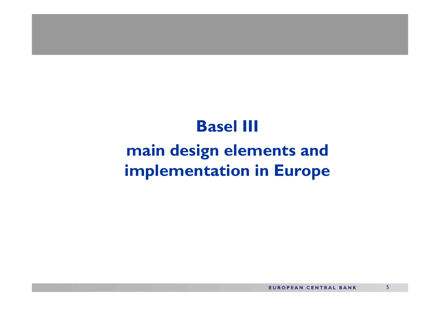### **Basel III**

# **main design elements and implementation in Europe**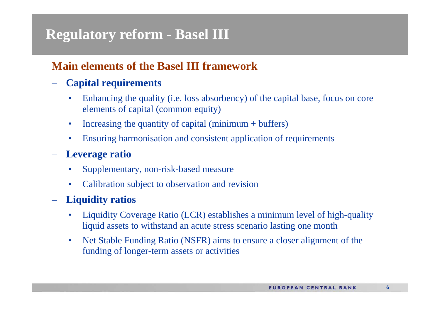### **Regulatory reform - Basel III**

#### **Main elements of the Basel III framework**

#### **Capital requirements**

- • Enhancing the quality (i.e. loss absorbency) of the capital base, focus on core elements of capital (common equity)
- $\bullet$ Increasing the quantity of capital (minimum + buffers)
- •Ensuring harmonisation and consistent application of requirements

#### –**Leverage ratio**

- $\bullet$ Supplementary, non-risk-based measure
- $\bullet$ Calibration subject to observation and revision

#### **Liquidity ratios**

- $\bullet$  Liquidity Coverage Ratio (LCR) establishes a minimum level of high-quality liquid assets to withstand an acute stress scenario lasting one month
- $\bullet$  Net Stable Funding Ratio (NSFR) aims to ensure a closer alignment of the funding of longer-term assets or activities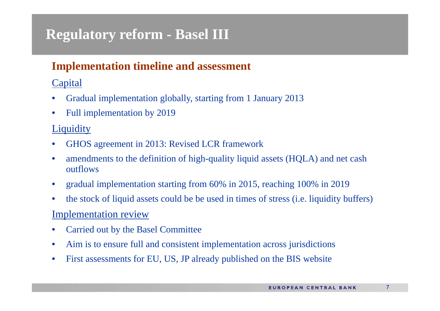### **Regulatory reform - Basel III**

### **Implementation timeline and assessment**

#### **Capital**

- •Gradual implementation globally, starting from 1 January 2013
- $\bullet$ Full implementation by 2019

#### **Liquidity**

- •GHOS agreement in 2013: Revised LCR framework
- • amendments to the definition of high-quality liquid assets (HQLA) and net cash outflows
- $\bullet$ gradual implementation starting from 60% in 2015, reaching 100% in 2019
- $\bullet$ the stock of liquid assets could be be used in times of stress (i.e. liquidity buffers)

#### Implementation review

- •Carried out by the Basel Committee
- $\bullet$ Aim is to ensure full and consistent implementation across jurisdictions
- •First assessments for EU, US, JP already published on the BIS website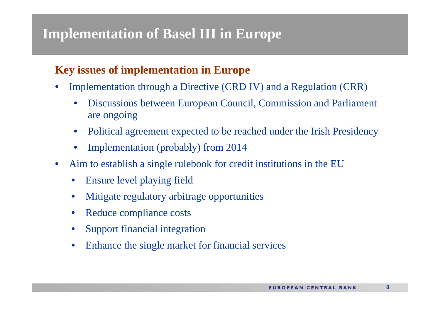### **Implementation of Basel III in Europe**

### **Key issues of implementation in Europe**

- $\bullet$  Implementation through a Directive (CRD IV) and a Regulation (CRR)
	- • Discussions between European Council, Commission and Parliament are ongoing
	- $\bullet$ Political agreement expected to be reached under the Irish Presidency
	- •Implementation (probably) from 2014
- $\bullet$  Aim to establish a single rulebook for credit institutions in the EU
	- •Ensure level playing field
	- •Mitigate regulatory arbitrage opportunities
	- •Reduce compliance costs
	- •Support financial integration
	- $\bullet$ Enhance the single market for financial services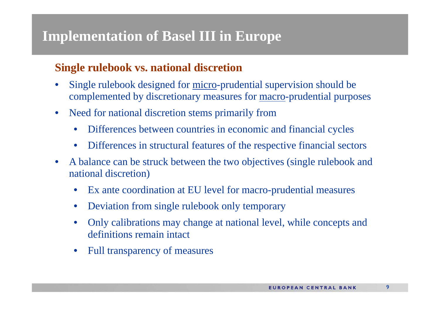### **Implementation of Basel III in Europe**

#### **Single rulebook vs. national discretion**

- • Single rulebook designed for micro-prudential supervision should be complemented by discretionary measures for macro-prudential purposes
- $\bullet$  Need for national discretion stems primarily from
	- $\bullet$ Differences between countries in economic and financial cycles
	- $\bullet$ Differences in structural features of the respective financial sectors
- $\bullet$  A balance can be struck between the two objectives (single rulebook and national discretion)
	- $\bullet$ Ex ante coordination at EU level for macro-prudential measures
	- $\bullet$ Deviation from single rulebook only temporary
	- • Only calibrations may change at national level, while concepts and definitions remain intact
	- $\bullet$ Full transparency of measures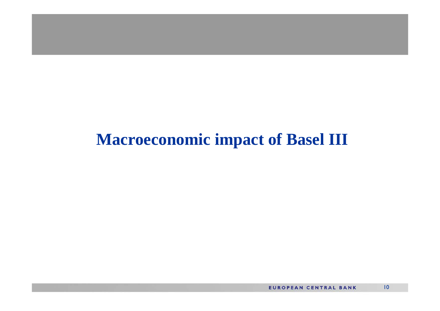## **Macroeconomic impact of Basel III**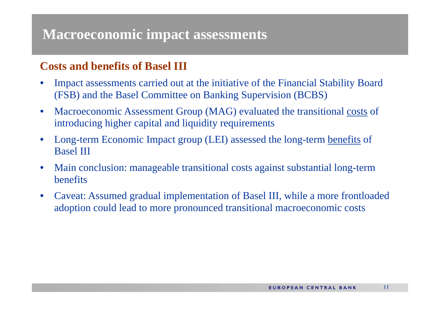### **Macroeconomic impact assessments**

### **Costs and benefits of Basel III**

- • Impact assessments carried out at the initiative of the Financial Stability Board (FSB) and the Basel Committee on Banking Supervision (BCBS)
- $\bullet$  Macroeconomic Assessment Group (MAG) evaluated the transitional costs of introducing higher capital and liquidity requirements
- • Long-term Economic Impact group (LEI) assessed the long-term benefits of Basel III
- $\bullet$  Main conclusion: manageable transitional costs against substantial long-term benefits
- $\bullet$  Caveat: Assumed gradual implementation of Basel III, while a more frontloaded adoption could lead to more pronounced transitional macroeconomic costs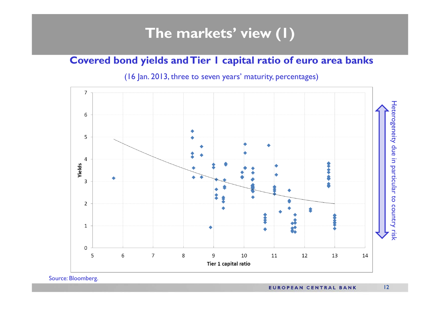### **The markets' view (1)**

#### **Covered bond yields and Tier 1 capital ratio of euro area banks**

(16 Jan. 2013, three to seven years' maturity, percentages)



Source: Bloomberg.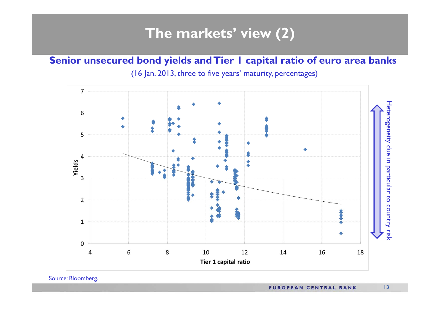### **The markets' view (2)**

#### **Senior unsecured bond yields and Tier 1 capital ratio of euro area banks**

(16 Jan. 2013, three to five years' maturity, percentages)



Source: Bloomberg.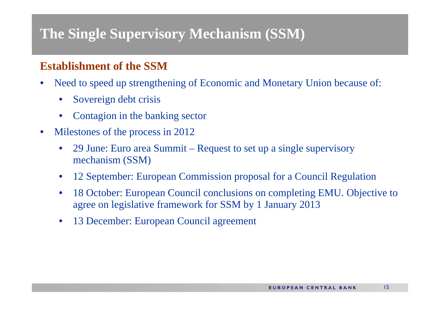### **Establishment of the SSM**

- • Need to speed up strengthening of Economic and Monetary Union because of:
	- $\bullet$ Sovereign debt crisis
	- $\bullet$ Contagion in the banking sector
- $\bullet$  Milestones of the process in 2012
	- • 29 June: Euro area Summit – Request to set up a single supervisory mechanism (SSM)
	- •12 September: European Commission proposal for a Council Regulation
	- • 18 October: European Council conclusions on completing EMU. Objective to agree on legislative framework for SSM by 1 January 2013
	- •13 December: European Council agreement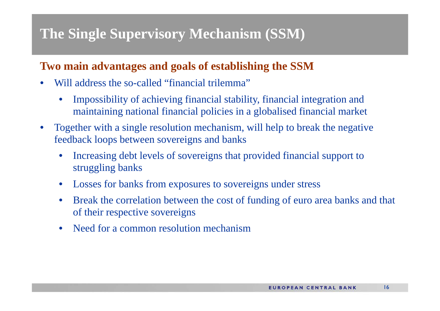### **Two main advantages and goals of establishing the SSM**

- •Will address the so-called "financial trilemma"
	- • Impossibility of achieving financial stability, financial integration and maintaining national financial policies in a globalised financial market
- • Together with a single resolution mechanism, will help to break the negative feedback loops between sovereigns and banks
	- • Increasing debt levels of sovereigns that provided financial support to struggling banks
	- •Losses for banks from exposures to sovereigns under stress
	- • Break the correlation between the cost of funding of euro area banks and that of their respective sovereigns
	- •Need for a common resolution mechanism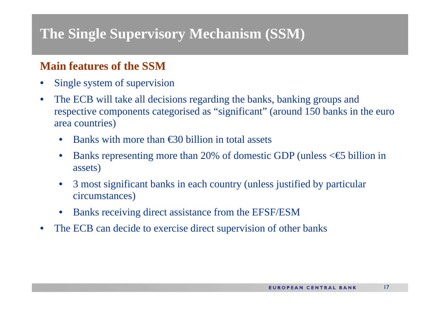### **Main features of the SSM**

- •Single system of supervision
- $\bullet$  The ECB will take all decisions regarding the banks, banking groups and respective components categorised as "significant" (around 150 banks in the euro area countries)
	- •Banks with more than €30 billion in total assets
	- •Banks representing more than 20% of domestic GDP (unless  $\leq$  billion in assets)
	- • 3 most significant banks in each country (unless justified by particular circumstances)
	- •Banks receiving direct assistance from the EFSF/ESM
- $\bullet$ The ECB can decide to exercise direct supervision of other banks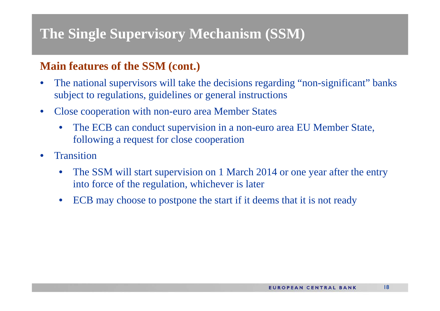### **Main features of the SSM (cont.)**

- • The national supervisors will take the decisions regarding "non-significant" banks subject to regulations, guidelines or general instructions
- $\bullet$  Close cooperation with non-euro area Member States
	- $\bullet$  The ECB can conduct supervision in a non-euro area EU Member State, following a request for close cooperation
- •**Transition** 
	- • The SSM will start supervision on 1 March 2014 or one year after the entry into force of the regulation, whichever is later
	- •ECB may choose to postpone the start if it deems that it is not ready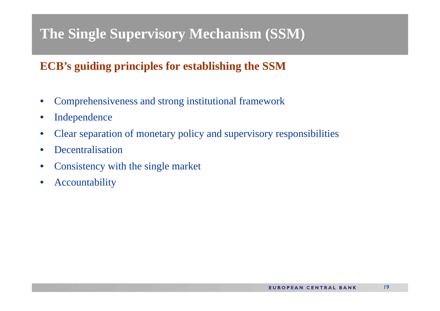### **ECB's guiding principles for establishing the SSM**

- $\bullet$ Comprehensiveness and strong institutional framework
- $\bullet$ Independence
- $\bullet$ Clear separation of monetary policy and supervisory responsibilities
- $\bullet$ • Decentralisation
- •Consistency with the single market
- •Accountability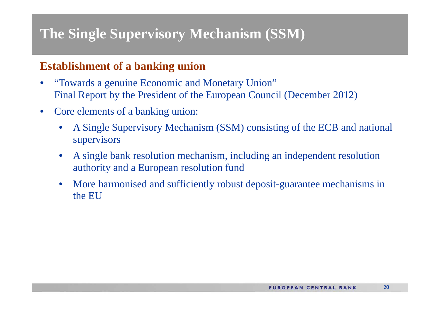### **Establishment of a banking union**

- • "Towards a genuine Economic and Monetary Union" Final Report by the President of the European Council (December 2012)
- $\bullet$  Core elements of a banking union:
	- • A Single Supervisory Mechanism (SSM) consisting of the ECB and national supervisors
	- • A single bank resolution mechanism, including an independent resolution authority and a European resolution fund
	- • More harmonised and sufficiently robust deposit-guarantee mechanisms in the EU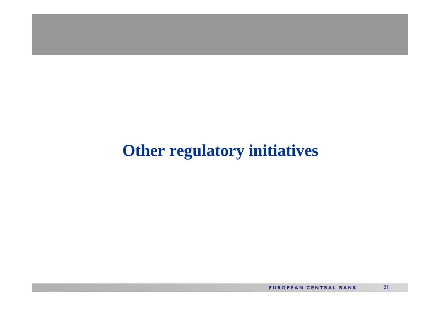## **Other regulatory initiatives**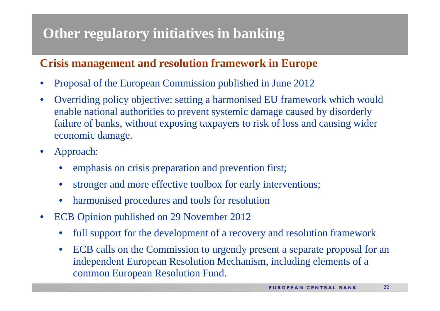### **Crisis management and resolution framework in Europe**

- •Proposal of the European Commission published in June 2012
- $\bullet$  Overriding policy objective: setting a harmonised EU framework which would enable national authorities to prevent systemic damage caused by disorderly failure of banks, without exposing taxpayers to risk of loss and causing wider economic damage.
- • Approach:
	- •emphasis on crisis preparation and prevention first;
	- •stronger and more effective toolbox for early interventions;
	- $\bullet$ harmonised procedures and tools for resolution
- $\bullet$  ECB Opinion published on 29 November 2012
	- •full support for the development of a recovery and resolution framework
	- $\bullet$  ECB calls on the Commission to urgently present a separate proposal for an independent European Resolution Mechanism, including elements of a common European Resolution Fund.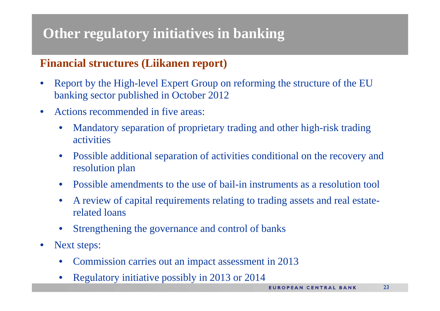### **Financial structures (Liikanen report)**

- • Report by the High-level Expert Group on reforming the structure of the EU banking sector published in October 2012
- $\bullet$  Actions recommended in five areas:
	- $\bullet$  Mandatory separation of proprietary trading and other high-risk trading activities
	- • Possible additional separation of activities conditional on the recovery and resolution plan
	- •Possible amendments to the use of bail-in instruments as a resolution tool
	- • A review of capital requirements relating to trading assets and real estaterelated loans
	- •Strengthening the governance and control of banks
- $\bullet$  Next steps:
	- •Commission carries out an impact assessment in 2013
	- •Regulatory initiative possibly in 2013 or 2014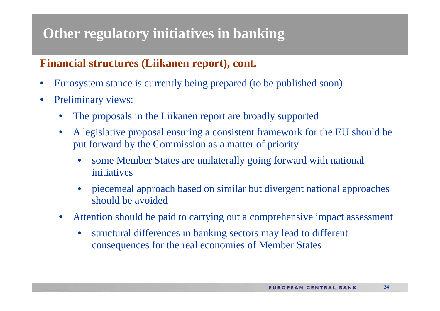### **Financial structures (Liikanen report), cont.**

- •Eurosystem stance is currently being prepared (to be published soon)
- $\bullet$  Preliminary views:
	- •The proposals in the Liikanen report are broadly supported
	- $\bullet$  A legislative proposal ensuring a consistent framework for the EU should be put forward by the Commission as a matter of priority
		- $\bullet$  some Member States are unilaterally going forward with national initiatives
		- • piecemeal approach based on similar but divergent national approaches should be avoided
	- • Attention should be paid to carrying out a comprehensive impact assessment
		- $\bullet$  structural differences in banking sectors may lead to different consequences for the real economies of Member States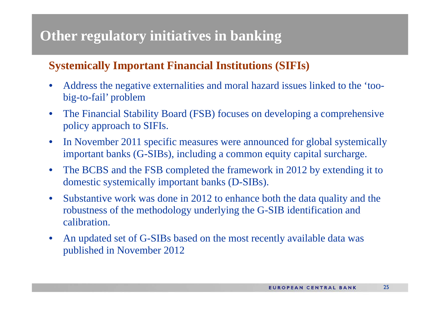### **Systemically Important Financial Institutions (SIFIs)**

- $\bullet$  Address the negative externalities and moral hazard issues linked to the 'toobig-to-fail' problem
- • The Financial Stability Board (FSB) focuses on developing a comprehensive policy approach to SIFIs.
- $\bullet$  In November 2011 specific measures were announced for global systemically important banks (G-SIBs), including a common equity capital surcharge.
- $\bullet$  The BCBS and the FSB completed the framework in 2012 by extending it to domestic systemically important banks (D-SIBs).
- $\bullet$  Substantive work was done in 2012 to enhance both the data quality and the robustness of the methodology underlying the G-SIB identification and calibration.
- $\bullet$  An updated set of G-SIBs based on the most recently available data was published in November 2012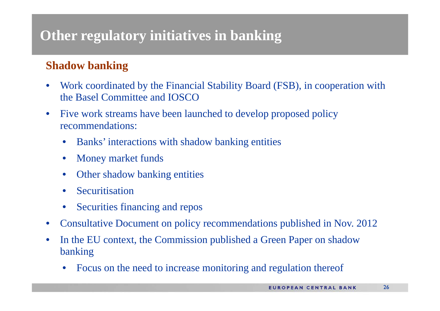### **Shadow banking**

- $\bullet$  Work coordinated by the Financial Stability Board (FSB), in cooperation with the Basel Committee and IOSCO
- $\bullet$  Five work streams have been launched to develop proposed policy recommendations:
	- •Banks' interactions with shadow banking entities
	- •Money market funds
	- •Other shadow banking entities
	- •**Securitisation**
	- •Securities financing and repos
- $\bullet$ Consultative Document on policy recommendations published in Nov. 2012
- $\bullet$  In the EU context, the Commission published a Green Paper on shadow banking
	- •Focus on the need to increase monitoring and regulation thereof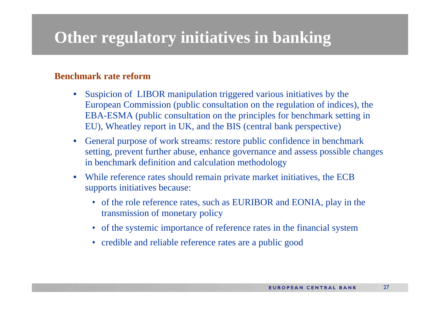#### **Benchmark rate reform**

- $\bullet$  Suspicion of LIBOR manipulation triggered various initiatives by the European Commission (public consultation on the regulation of indices), the EBA-ESMA (public consultation on the principles for benchmark setting in EU), Wheatley report in UK, and the BIS (central bank perspective)
- $\bullet$  General purpose of work streams: restore public confidence in benchmark setting, prevent further abuse, enhance governance and assess possible changes in benchmark definition and calculation methodology
- $\bullet$  While reference rates should remain private market initiatives, the ECB supports initiatives because:
	- of the role reference rates, such as EURIBOR and EONIA, play in the transmission of monetary policy
	- of the systemic importance of reference rates in the financial system
	- credible and reliable reference rates are a public good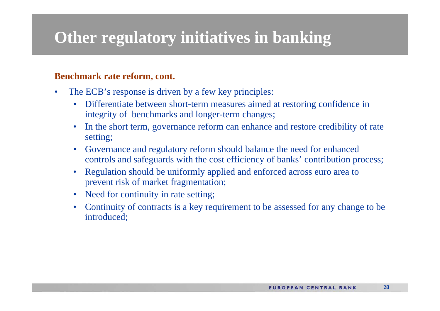#### **Benchmark rate reform, cont.**

- • The ECB's response is driven by a few key principles:
	- $\bullet$  Differentiate between short-term measures aimed at restoring confidence in integrity of benchmarks and longer-term changes;
	- $\bullet$  In the short term, governance reform can enhance and restore credibility of rate setting;
	- $\bullet$  Governance and regulatory reform should balance the need for enhanced controls and safeguards with the cost efficiency of banks' contribution process;
	- $\bullet$  Regulation should be uniformly applied and enforced across euro area to prevent risk of market fragmentation;
	- $\bullet$ Need for continuity in rate setting;
	- $\bullet$  Continuity of contracts is a key requirement to be assessed for any change to be introduced;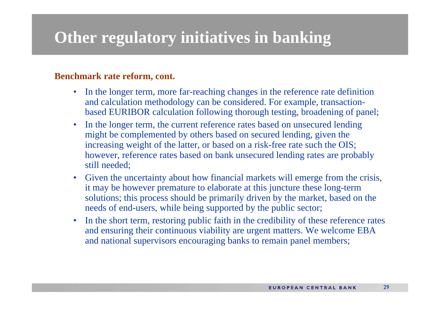#### **Benchmark rate reform, cont.**

- $\bullet$  In the longer term, more far-reaching changes in the reference rate definition and calculation methodology can be considered. For example, transactionbased EURIBOR calculation following thorough testing, broadening of panel;
- $\bullet$  In the longer term, the current reference rates based on unsecured lending might be complemented by others based on secured lending, given the increasing weight of the latter, or based on a risk-free rate such the OIS; however, reference rates based on bank unsecured lending rates are probably still needed;
- $\bullet$  Given the uncertainty about how financial markets will emerge from the crisis, it may be however premature to elaborate at this juncture these long-term solutions; this process should be primarily driven by the market, based on the needs of end-users, while being supported by the public sector;
- $\bullet$  In the short term, restoring public faith in the credibility of these reference rates and ensuring their continuous viability are urgent matters. We welcome EBA and national supervisors encouraging banks to remain panel members;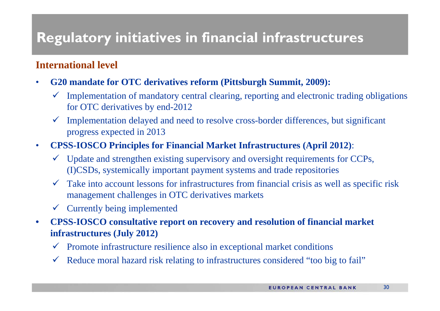## **Regulatory initiatives in financial infrastructures**

#### **International level**

- $\bullet$  **G20 mandate for OTC derivatives reform (Pittsburgh Summit, 2009):**
	- $\checkmark$  Implementation of mandatory central clearing, reporting and electronic trading obligations for OTC derivatives by end-2012
	- $\checkmark$  Implementation delayed and need to resolve cross-border differences, but significant progress expected in 2013
- • **CPSS-IOSCO Principles for Financial Market Infrastructures (April 2012)**:
	- $\checkmark$  Update and strengthen existing supervisory and oversight requirements for CCPs, (I)CSDs, systemically important payment systems and trade repositories
	- $\checkmark$  Take into account lessons for infrastructures from financial crisis as well as specific risk management challenges in OTC derivatives markets
	- Currently being implemented
- $\bullet$  **CPSS-IOSCO consultative report on recovery and resolution of financial market infrastructures (July 2012)**
	- $\checkmark$  Promote infrastructure resilience also in exceptional market conditions
	- $\checkmark$  Reduce moral hazard risk relating to infrastructures considered "too big to fail"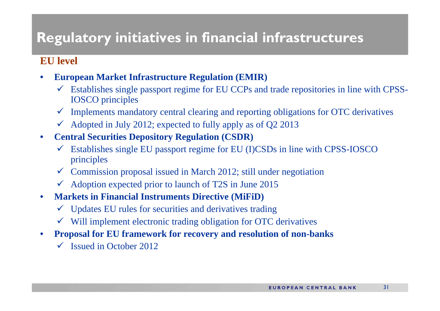## **Regulatory initiatives in financial infrastructures**

#### **EU level**

- • **European Market Infrastructure Regulation (EMIR)** 
	- $\checkmark$  Establishes single passport regime for EU CCPs and trade repositories in line with CPSS-IOSCO principles
	- $\checkmark$  Implements mandatory central clearing and reporting obligations for OTC derivatives
	- $\checkmark$  Adopted in July 2012; expected to fully apply as of Q2 2013
- $\bullet$  **Central Securities Depository Regulation (CSDR)**
	- $\checkmark$  Establishes single EU passport regime for EU (I)CSDs in line with CPSS-IOSCO principles
	- $\checkmark$  Commission proposal issued in March 2012; still under negotiation
	- $\checkmark$  Adoption expected prior to launch of T2S in June 2015
- $\bullet$  **Markets in Financial Instruments Directive (MiFiD)**
	- $\checkmark$  Updates EU rules for securities and derivatives trading
	- $\checkmark$  Will implement electronic trading obligation for OTC derivatives
- $\bullet$  **Proposal for EU framework for recovery and resolution of non-banks**
	- $\checkmark$  Issued in October 2012